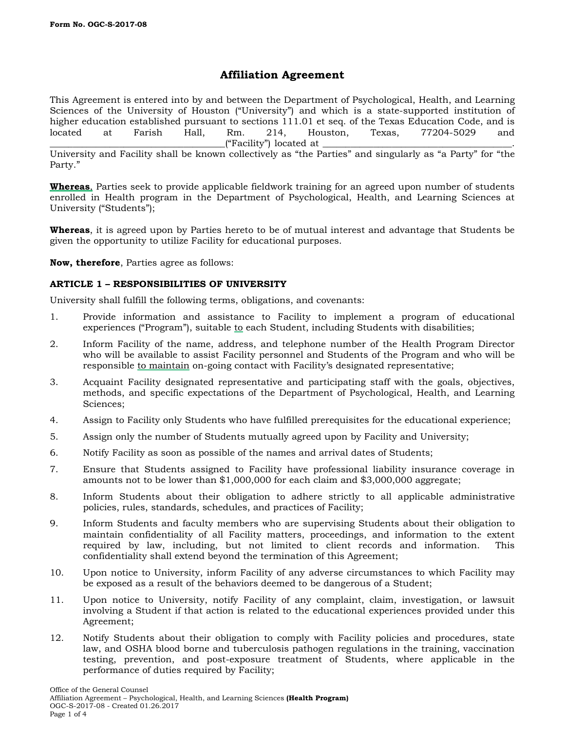# **Affiliation Agreement**

This Agreement is entered into by and between the Department of Psychological, Health, and Learning Sciences of the University of Houston ("University") and which is a state-supported institution of higher education established pursuant to sections 111.01 et seq. of the Texas Education Code, and is located at Farish Hall, Rm. 214, Houston, Texas, 77204-5029 and \_\_\_\_\_\_\_\_\_\_\_\_\_\_\_\_\_\_\_\_\_\_\_\_\_\_\_\_\_\_\_\_\_\_\_\_\_\_("Facility") located at \_\_\_\_\_\_\_\_\_\_\_\_\_\_\_\_\_\_\_\_\_\_\_\_\_\_\_\_\_\_\_\_\_\_\_\_\_\_\_\_\_.

University and Facility shall be known collectively as "the Parties" and singularly as "a Party" for "the Party."

**Whereas**, Parties seek to provide applicable fieldwork training for an agreed upon number of students enrolled in Health program in the Department of Psychological, Health, and Learning Sciences at University ("Students");

**Whereas**, it is agreed upon by Parties hereto to be of mutual interest and advantage that Students be given the opportunity to utilize Facility for educational purposes.

**Now, therefore**, Parties agree as follows:

# **ARTICLE 1 – RESPONSIBILITIES OF UNIVERSITY**

University shall fulfill the following terms, obligations, and covenants:

- 1. Provide information and assistance to Facility to implement a program of educational experiences ("Program"), suitable to each Student, including Students with disabilities;
- 2. Inform Facility of the name, address, and telephone number of the Health Program Director who will be available to assist Facility personnel and Students of the Program and who will be responsible to maintain on-going contact with Facility's designated representative;
- 3. Acquaint Facility designated representative and participating staff with the goals, objectives, methods, and specific expectations of the Department of Psychological, Health, and Learning Sciences;
- 4. Assign to Facility only Students who have fulfilled prerequisites for the educational experience;
- 5. Assign only the number of Students mutually agreed upon by Facility and University;
- 6. Notify Facility as soon as possible of the names and arrival dates of Students;
- 7. Ensure that Students assigned to Facility have professional liability insurance coverage in amounts not to be lower than \$1,000,000 for each claim and \$3,000,000 aggregate;
- 8. Inform Students about their obligation to adhere strictly to all applicable administrative policies, rules, standards, schedules, and practices of Facility;
- 9. Inform Students and faculty members who are supervising Students about their obligation to maintain confidentiality of all Facility matters, proceedings, and information to the extent required by law, including, but not limited to client records and information. This confidentiality shall extend beyond the termination of this Agreement;
- 10. Upon notice to University, inform Facility of any adverse circumstances to which Facility may be exposed as a result of the behaviors deemed to be dangerous of a Student;
- 11. Upon notice to University, notify Facility of any complaint, claim, investigation, or lawsuit involving a Student if that action is related to the educational experiences provided under this Agreement;
- 12. Notify Students about their obligation to comply with Facility policies and procedures, state law, and OSHA blood borne and tuberculosis pathogen regulations in the training, vaccination testing, prevention, and post-exposure treatment of Students, where applicable in the performance of duties required by Facility;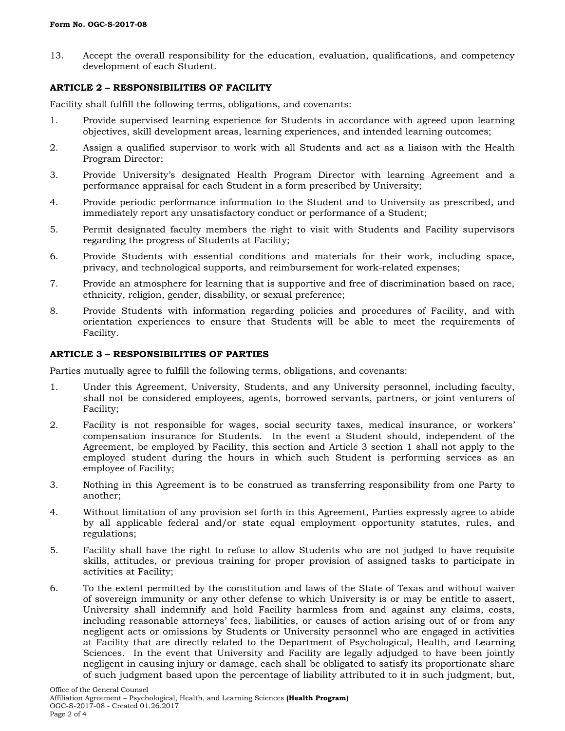13. Accept the overall responsibility for the education, evaluation, qualifications, and competency development of each Student.

## **ARTICLE 2 – RESPONSIBILITIES OF FACILITY**

Facility shall fulfill the following terms, obligations, and covenants:

- 1. Provide supervised learning experience for Students in accordance with agreed upon learning objectives, skill development areas, learning experiences, and intended learning outcomes;
- 2. Assign a qualified supervisor to work with all Students and act as a liaison with the Health Program Director;
- 3. Provide University's designated Health Program Director with learning Agreement and a performance appraisal for each Student in a form prescribed by University;
- 4. Provide periodic performance information to the Student and to University as prescribed, and immediately report any unsatisfactory conduct or performance of a Student;
- 5. Permit designated faculty members the right to visit with Students and Facility supervisors regarding the progress of Students at Facility;
- 6. Provide Students with essential conditions and materials for their work, including space, privacy, and technological supports, and reimbursement for work-related expenses;
- 7. Provide an atmosphere for learning that is supportive and free of discrimination based on race, ethnicity, religion, gender, disability, or sexual preference;
- 8. Provide Students with information regarding policies and procedures of Facility, and with orientation experiences to ensure that Students will be able to meet the requirements of Facility.

# **ARTICLE 3 – RESPONSIBILITIES OF PARTIES**

Parties mutually agree to fulfill the following terms, obligations, and covenants:

- 1. Under this Agreement, University, Students, and any University personnel, including faculty, shall not be considered employees, agents, borrowed servants, partners, or joint venturers of Facility;
- 2. Facility is not responsible for wages, social security taxes, medical insurance, or workers' compensation insurance for Students. In the event a Student should, independent of the Agreement, be employed by Facility, this section and Article 3 section 1 shall not apply to the employed student during the hours in which such Student is performing services as an employee of Facility;
- 3. Nothing in this Agreement is to be construed as transferring responsibility from one Party to another;
- 4. Without limitation of any provision set forth in this Agreement, Parties expressly agree to abide by all applicable federal and/or state equal employment opportunity statutes, rules, and regulations;
- 5. Facility shall have the right to refuse to allow Students who are not judged to have requisite skills, attitudes, or previous training for proper provision of assigned tasks to participate in activities at Facility;
- 6. To the extent permitted by the constitution and laws of the State of Texas and without waiver of sovereign immunity or any other defense to which University is or may be entitle to assert, University shall indemnify and hold Facility harmless from and against any claims, costs, including reasonable attorneys' fees, liabilities, or causes of action arising out of or from any negligent acts or omissions by Students or University personnel who are engaged in activities at Facility that are directly related to the Department of Psychological, Health, and Learning Sciences. In the event that University and Facility are legally adjudged to have been jointly negligent in causing injury or damage, each shall be obligated to satisfy its proportionate share of such judgment based upon the percentage of liability attributed to it in such judgment, but,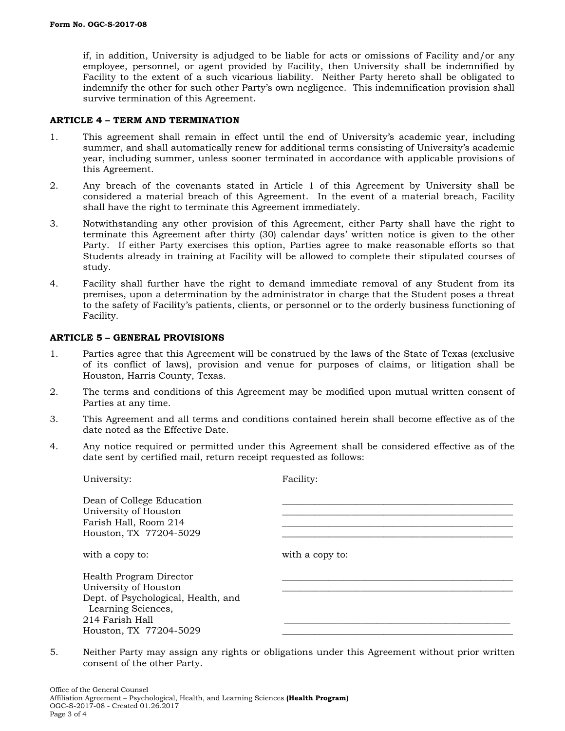if, in addition, University is adjudged to be liable for acts or omissions of Facility and/or any employee, personnel, or agent provided by Facility, then University shall be indemnified by Facility to the extent of a such vicarious liability. Neither Party hereto shall be obligated to indemnify the other for such other Party's own negligence. This indemnification provision shall survive termination of this Agreement.

### **ARTICLE 4 – TERM AND TERMINATION**

- 1. This agreement shall remain in effect until the end of University's academic year, including summer, and shall automatically renew for additional terms consisting of University's academic year, including summer, unless sooner terminated in accordance with applicable provisions of this Agreement.
- 2. Any breach of the covenants stated in Article 1 of this Agreement by University shall be considered a material breach of this Agreement. In the event of a material breach, Facility shall have the right to terminate this Agreement immediately.
- 3. Notwithstanding any other provision of this Agreement, either Party shall have the right to terminate this Agreement after thirty (30) calendar days' written notice is given to the other Party. If either Party exercises this option, Parties agree to make reasonable efforts so that Students already in training at Facility will be allowed to complete their stipulated courses of study.
- 4. Facility shall further have the right to demand immediate removal of any Student from its premises, upon a determination by the administrator in charge that the Student poses a threat to the safety of Facility's patients, clients, or personnel or to the orderly business functioning of Facility.

### **ARTICLE 5 – GENERAL PROVISIONS**

- 1. Parties agree that this Agreement will be construed by the laws of the State of Texas (exclusive of its conflict of laws), provision and venue for purposes of claims, or litigation shall be Houston, Harris County, Texas.
- 2. The terms and conditions of this Agreement may be modified upon mutual written consent of Parties at any time.
- 3. This Agreement and all terms and conditions contained herein shall become effective as of the date noted as the Effective Date.
- 4. Any notice required or permitted under this Agreement shall be considered effective as of the date sent by certified mail, return receipt requested as follows:

| University:                                                                                                                                                | Facility:       |
|------------------------------------------------------------------------------------------------------------------------------------------------------------|-----------------|
| Dean of College Education<br>University of Houston<br>Farish Hall, Room 214<br>Houston, TX 77204-5029                                                      |                 |
| with a copy to:                                                                                                                                            | with a copy to: |
| Health Program Director<br>University of Houston<br>Dept. of Psychological, Health, and<br>Learning Sciences,<br>214 Farish Hall<br>Houston, TX 77204-5029 |                 |

5. Neither Party may assign any rights or obligations under this Agreement without prior written consent of the other Party.